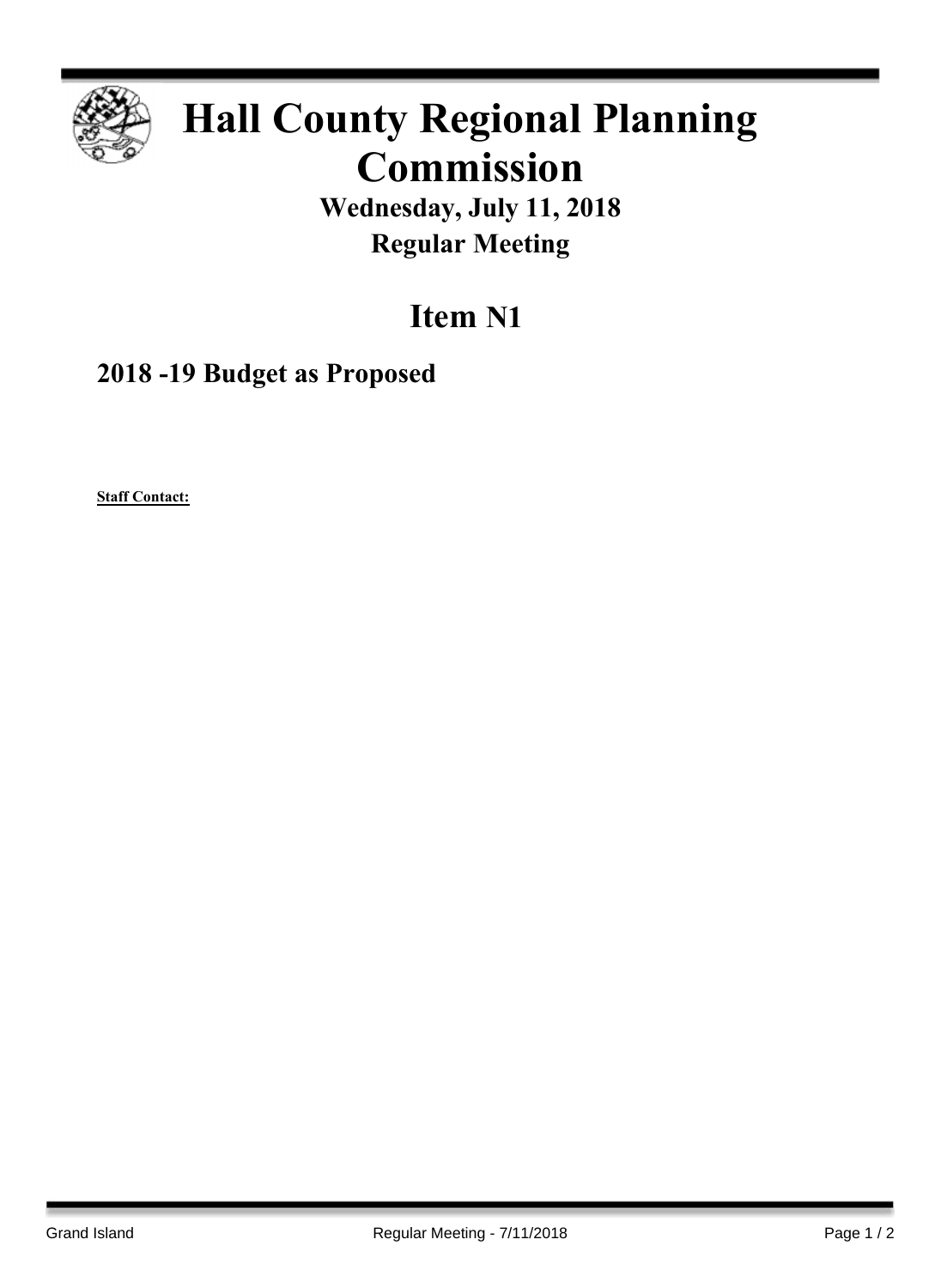

## **Hall County Regional Planning Commission**

**Wednesday, July 11, 2018 Regular Meeting**

## **Item N1**

**2018 -19 Budget as Proposed**

**Staff Contact:**